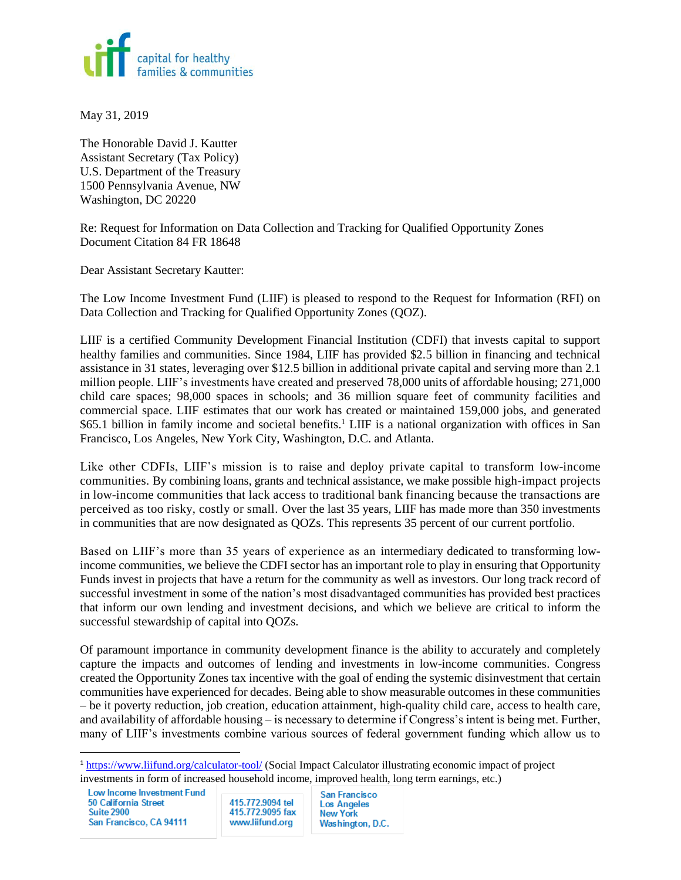

May 31, 2019

The Honorable David J. Kautter Assistant Secretary (Tax Policy) U.S. Department of the Treasury 1500 Pennsylvania Avenue, NW Washington, DC 20220

Re: Request for Information on Data Collection and Tracking for Qualified Opportunity Zones Document Citation 84 FR 18648

Dear Assistant Secretary Kautter:

The Low Income Investment Fund (LIIF) is pleased to respond to the Request for Information (RFI) on Data Collection and Tracking for Qualified Opportunity Zones (QOZ).

LIIF is a certified Community Development Financial Institution (CDFI) that invests capital to support healthy families and communities. Since 1984, LIIF has provided \$2.5 billion in financing and technical assistance in 31 states, leveraging over \$12.5 billion in additional private capital and serving more than 2.1 million people. LIIF's investments have created and preserved 78,000 units of affordable housing; 271,000 child care spaces; 98,000 spaces in schools; and 36 million square feet of community facilities and commercial space. LIIF estimates that our work has created or maintained 159,000 jobs, and generated  $$65.1$  billion in family income and societal benefits.<sup>1</sup> LIIF is a national organization with offices in San Francisco, Los Angeles, New York City, Washington, D.C. and Atlanta.

Like other CDFIs, LIIF's mission is to raise and deploy private capital to transform low-income communities. By combining loans, grants and technical assistance, we make possible high-impact projects in low-income communities that lack access to traditional bank financing because the transactions are perceived as too risky, costly or small. Over the last 35 years, LIIF has made more than 350 investments in communities that are now designated as QOZs. This represents 35 percent of our current portfolio.

Based on LIIF's more than 35 years of experience as an intermediary dedicated to transforming lowincome communities, we believe the CDFI sector has an important role to play in ensuring that Opportunity Funds invest in projects that have a return for the community as well as investors. Our long track record of successful investment in some of the nation's most disadvantaged communities has provided best practices that inform our own lending and investment decisions, and which we believe are critical to inform the successful stewardship of capital into QOZs.

Of paramount importance in community development finance is the ability to accurately and completely capture the impacts and outcomes of lending and investments in low-income communities. Congress created the Opportunity Zones tax incentive with the goal of ending the systemic disinvestment that certain communities have experienced for decades. Being able to show measurable outcomes in these communities – be it poverty reduction, job creation, education attainment, high-quality child care, access to health care, and availability of affordable housing – is necessary to determine if Congress's intent is being met. Further, many of LIIF's investments combine various sources of federal government funding which allow us to

Low Income Investment Fund 50 California Street **Suite 2900** San Francisco, CA 94111

 $\overline{\phantom{a}}$ 

415.772.9094 tel 415.772.9095 fax www.liifund.org

**San Francisco Los Angeles New York** Washington, D.C.

<sup>1</sup> <https://www.liifund.org/calculator-tool/> (Social Impact Calculator illustrating economic impact of project investments in form of increased household income, improved health, long term earnings, etc.)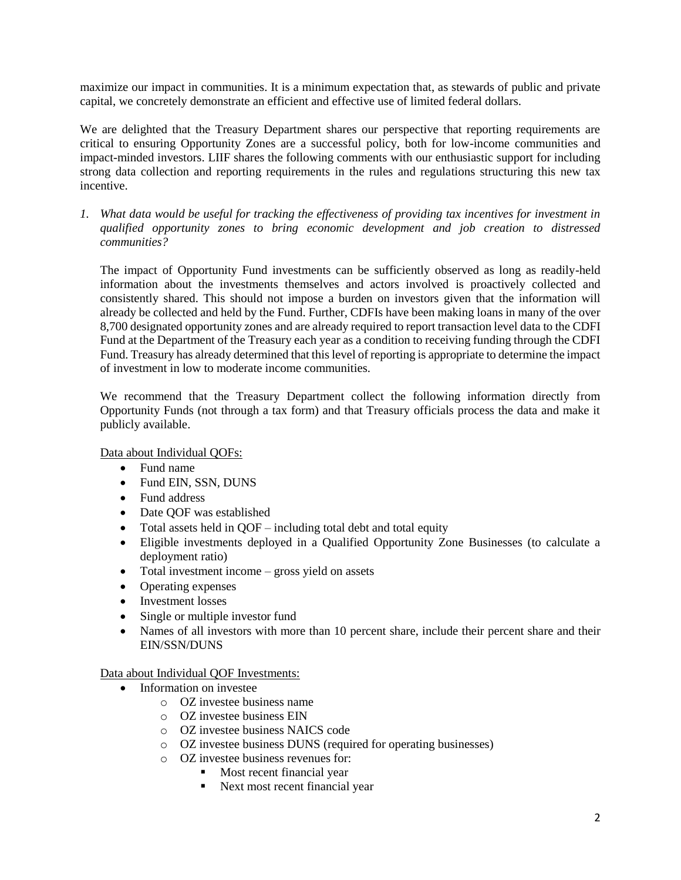maximize our impact in communities. It is a minimum expectation that, as stewards of public and private capital, we concretely demonstrate an efficient and effective use of limited federal dollars.

We are delighted that the Treasury Department shares our perspective that reporting requirements are critical to ensuring Opportunity Zones are a successful policy, both for low-income communities and impact-minded investors. LIIF shares the following comments with our enthusiastic support for including strong data collection and reporting requirements in the rules and regulations structuring this new tax incentive.

*1. What data would be useful for tracking the effectiveness of providing tax incentives for investment in qualified opportunity zones to bring economic development and job creation to distressed communities?*

The impact of Opportunity Fund investments can be sufficiently observed as long as readily-held information about the investments themselves and actors involved is proactively collected and consistently shared. This should not impose a burden on investors given that the information will already be collected and held by the Fund. Further, CDFIs have been making loans in many of the over 8,700 designated opportunity zones and are already required to report transaction level data to the CDFI Fund at the Department of the Treasury each year as a condition to receiving funding through the CDFI Fund. Treasury has already determined that this level of reporting is appropriate to determine the impact of investment in low to moderate income communities.

We recommend that the Treasury Department collect the following information directly from Opportunity Funds (not through a tax form) and that Treasury officials process the data and make it publicly available.

Data about Individual QOFs:

- Fund name
- Fund EIN, SSN, DUNS
- Fund address
- Date QOF was established
- Total assets held in QOF including total debt and total equity
- Eligible investments deployed in a Qualified Opportunity Zone Businesses (to calculate a deployment ratio)
- Total investment income gross yield on assets
- Operating expenses
- Investment losses
- Single or multiple investor fund
- Names of all investors with more than 10 percent share, include their percent share and their EIN/SSN/DUNS

Data about Individual QOF Investments:

- Information on investee
	- o OZ investee business name
	- o OZ investee business EIN
	- o OZ investee business NAICS code
	- o OZ investee business DUNS (required for operating businesses)
	- o OZ investee business revenues for:
		- Most recent financial year
		- Next most recent financial year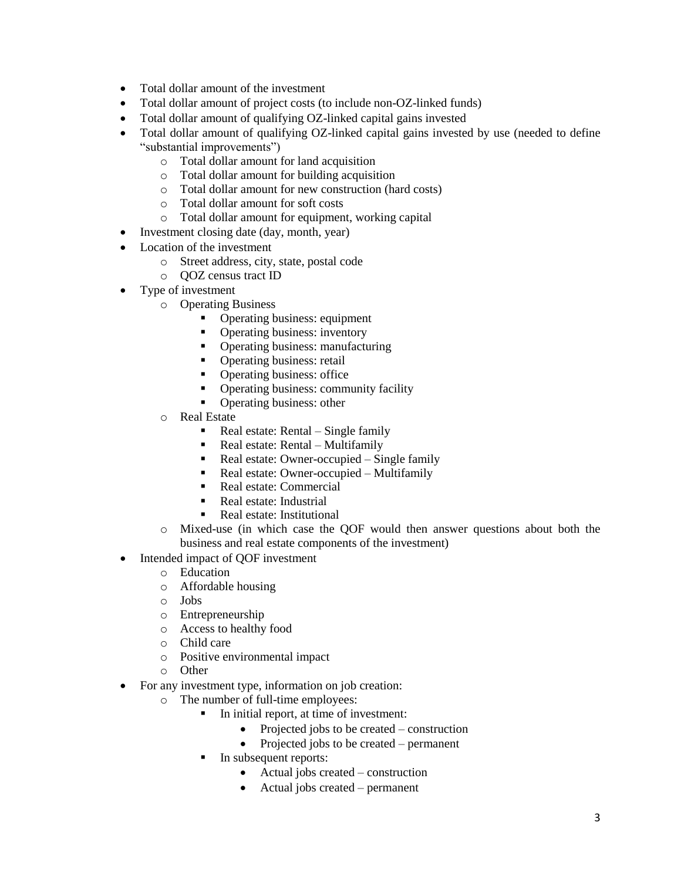- Total dollar amount of the investment
- Total dollar amount of project costs (to include non-OZ-linked funds)
- Total dollar amount of qualifying OZ-linked capital gains invested
- Total dollar amount of qualifying OZ-linked capital gains invested by use (needed to define "substantial improvements")
	- o Total dollar amount for land acquisition
	- o Total dollar amount for building acquisition
	- o Total dollar amount for new construction (hard costs)
	- o Total dollar amount for soft costs
	- o Total dollar amount for equipment, working capital
- Investment closing date (day, month, year)
- Location of the investment
	- o Street address, city, state, postal code
	- o QOZ census tract ID
- Type of investment
	- o Operating Business
		- Operating business: equipment
		- Operating business: inventory
		- Operating business: manufacturing
		- Operating business: retail
		- Operating business: office
		- Operating business: community facility
		- Operating business: other
	- o Real Estate
		- $\blacksquare$  Real estate: Rental Single family
		- Real estate:  $Rental Multifamily$
		- Real estate: Owner-occupied Single family
		- Real estate: Owner-occupied Multifamily
		- Real estate: Commercial
		- Real estate: Industrial
		- Real estate: Institutional
	- o Mixed-use (in which case the QOF would then answer questions about both the business and real estate components of the investment)
- Intended impact of QOF investment
	- o Education
	- o Affordable housing
	- o Jobs
	- o Entrepreneurship
	- o Access to healthy food
	- o Child care
	- o Positive environmental impact
	- o Other
- For any investment type, information on job creation:
	- o The number of full-time employees:
		- In initial report, at time of investment:
			- Projected jobs to be created construction
			- Projected jobs to be created permanent
		- **•** In subsequent reports:
			- Actual jobs created construction
			- Actual jobs created permanent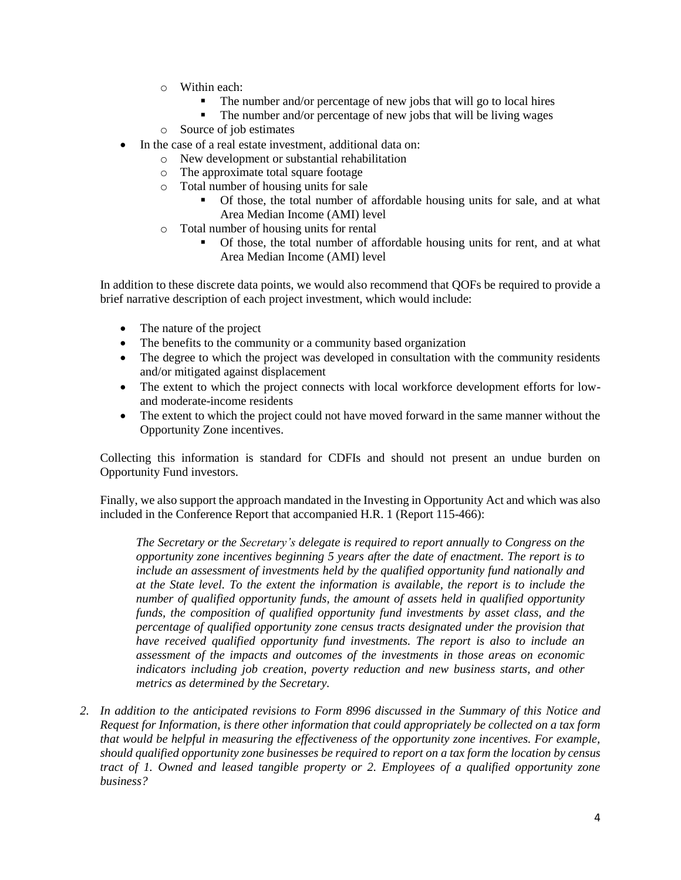- o Within each:
	- The number and/or percentage of new jobs that will go to local hires
	- The number and/or percentage of new jobs that will be living wages
- o Source of job estimates
- In the case of a real estate investment, additional data on:
	- o New development or substantial rehabilitation
	- o The approximate total square footage
	- o Total number of housing units for sale
		- Of those, the total number of affordable housing units for sale, and at what Area Median Income (AMI) level
	- o Total number of housing units for rental
		- Of those, the total number of affordable housing units for rent, and at what Area Median Income (AMI) level

In addition to these discrete data points, we would also recommend that QOFs be required to provide a brief narrative description of each project investment, which would include:

- The nature of the project
- The benefits to the community or a community based organization
- The degree to which the project was developed in consultation with the community residents and/or mitigated against displacement
- The extent to which the project connects with local workforce development efforts for lowand moderate-income residents
- The extent to which the project could not have moved forward in the same manner without the Opportunity Zone incentives.

Collecting this information is standard for CDFIs and should not present an undue burden on Opportunity Fund investors.

Finally, we also support the approach mandated in the Investing in Opportunity Act and which was also included in the Conference Report that accompanied H.R. 1 (Report 115-466):

*The Secretary or the Secretary's delegate is required to report annually to Congress on the opportunity zone incentives beginning 5 years after the date of enactment. The report is to include an assessment of investments held by the qualified opportunity fund nationally and at the State level. To the extent the information is available, the report is to include the number of qualified opportunity funds, the amount of assets held in qualified opportunity funds, the composition of qualified opportunity fund investments by asset class, and the percentage of qualified opportunity zone census tracts designated under the provision that have received qualified opportunity fund investments. The report is also to include an assessment of the impacts and outcomes of the investments in those areas on economic indicators including job creation, poverty reduction and new business starts, and other metrics as determined by the Secretary.*

*2. In addition to the anticipated revisions to Form 8996 discussed in the Summary of this Notice and Request for Information, is there other information that could appropriately be collected on a tax form that would be helpful in measuring the effectiveness of the opportunity zone incentives. For example, should qualified opportunity zone businesses be required to report on a tax form the location by census tract of 1. Owned and leased tangible property or 2. Employees of a qualified opportunity zone business?*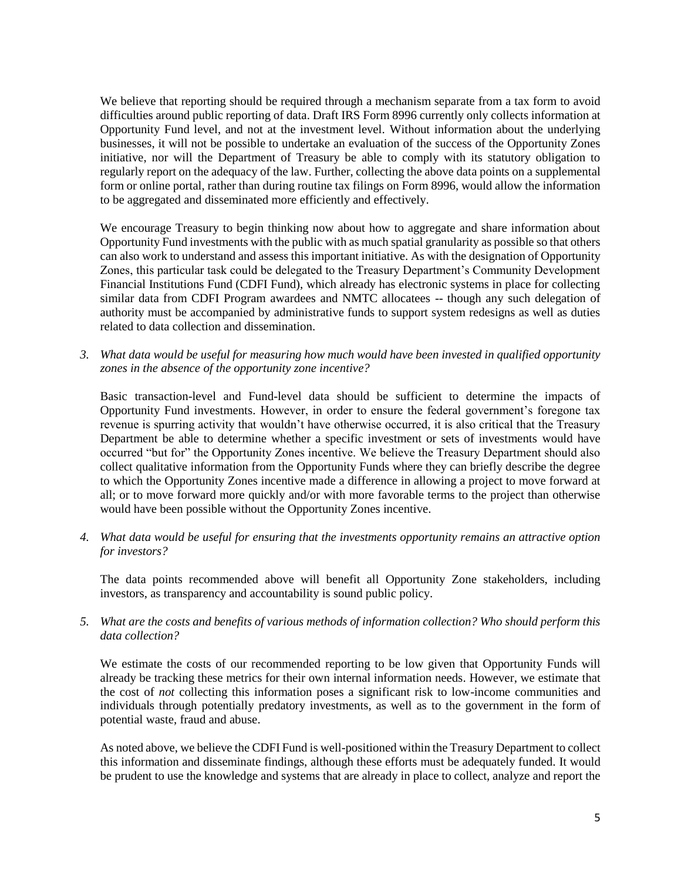We believe that reporting should be required through a mechanism separate from a tax form to avoid difficulties around public reporting of data. Draft IRS Form 8996 currently only collects information at Opportunity Fund level, and not at the investment level. Without information about the underlying businesses, it will not be possible to undertake an evaluation of the success of the Opportunity Zones initiative, nor will the Department of Treasury be able to comply with its statutory obligation to regularly report on the adequacy of the law. Further, collecting the above data points on a supplemental form or online portal, rather than during routine tax filings on Form 8996, would allow the information to be aggregated and disseminated more efficiently and effectively.

We encourage Treasury to begin thinking now about how to aggregate and share information about Opportunity Fund investments with the public with as much spatial granularity as possible so that others can also work to understand and assess this important initiative. As with the designation of Opportunity Zones, this particular task could be delegated to the Treasury Department's Community Development Financial Institutions Fund (CDFI Fund), which already has electronic systems in place for collecting similar data from CDFI Program awardees and NMTC allocatees -- though any such delegation of authority must be accompanied by administrative funds to support system redesigns as well as duties related to data collection and dissemination.

*3. What data would be useful for measuring how much would have been invested in qualified opportunity zones in the absence of the opportunity zone incentive?*

Basic transaction-level and Fund-level data should be sufficient to determine the impacts of Opportunity Fund investments. However, in order to ensure the federal government's foregone tax revenue is spurring activity that wouldn't have otherwise occurred, it is also critical that the Treasury Department be able to determine whether a specific investment or sets of investments would have occurred "but for" the Opportunity Zones incentive. We believe the Treasury Department should also collect qualitative information from the Opportunity Funds where they can briefly describe the degree to which the Opportunity Zones incentive made a difference in allowing a project to move forward at all; or to move forward more quickly and/or with more favorable terms to the project than otherwise would have been possible without the Opportunity Zones incentive.

*4. What data would be useful for ensuring that the investments opportunity remains an attractive option for investors?*

The data points recommended above will benefit all Opportunity Zone stakeholders, including investors, as transparency and accountability is sound public policy.

*5. What are the costs and benefits of various methods of information collection? Who should perform this data collection?*

We estimate the costs of our recommended reporting to be low given that Opportunity Funds will already be tracking these metrics for their own internal information needs. However, we estimate that the cost of *not* collecting this information poses a significant risk to low-income communities and individuals through potentially predatory investments, as well as to the government in the form of potential waste, fraud and abuse.

As noted above, we believe the CDFI Fund is well-positioned within the Treasury Department to collect this information and disseminate findings, although these efforts must be adequately funded. It would be prudent to use the knowledge and systems that are already in place to collect, analyze and report the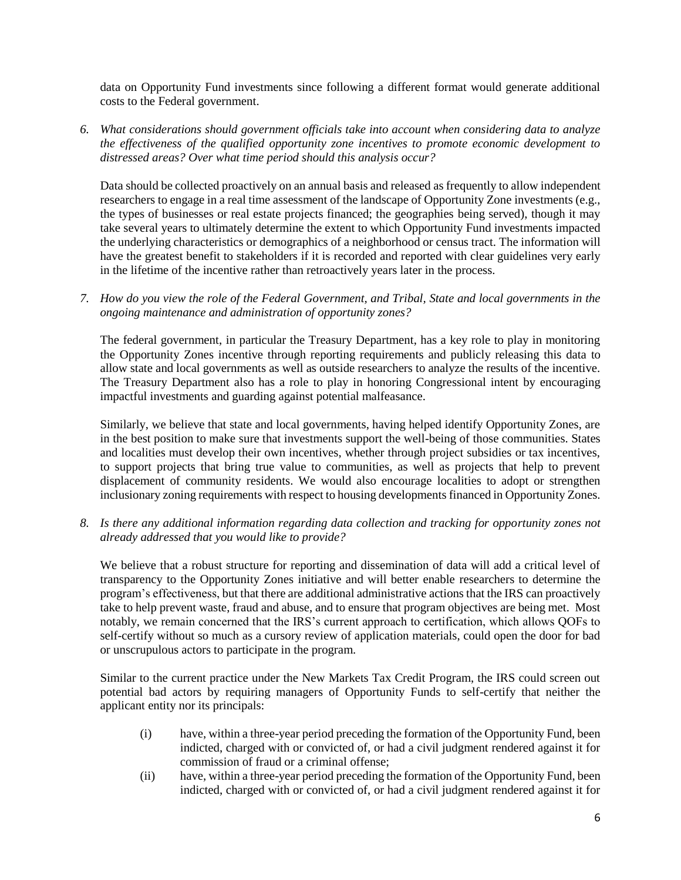data on Opportunity Fund investments since following a different format would generate additional costs to the Federal government.

*6. What considerations should government officials take into account when considering data to analyze the effectiveness of the qualified opportunity zone incentives to promote economic development to distressed areas? Over what time period should this analysis occur?*

Data should be collected proactively on an annual basis and released as frequently to allow independent researchers to engage in a real time assessment of the landscape of Opportunity Zone investments (e.g., the types of businesses or real estate projects financed; the geographies being served), though it may take several years to ultimately determine the extent to which Opportunity Fund investments impacted the underlying characteristics or demographics of a neighborhood or census tract. The information will have the greatest benefit to stakeholders if it is recorded and reported with clear guidelines very early in the lifetime of the incentive rather than retroactively years later in the process.

*7. How do you view the role of the Federal Government, and Tribal, State and local governments in the ongoing maintenance and administration of opportunity zones?*

The federal government, in particular the Treasury Department, has a key role to play in monitoring the Opportunity Zones incentive through reporting requirements and publicly releasing this data to allow state and local governments as well as outside researchers to analyze the results of the incentive. The Treasury Department also has a role to play in honoring Congressional intent by encouraging impactful investments and guarding against potential malfeasance.

Similarly, we believe that state and local governments, having helped identify Opportunity Zones, are in the best position to make sure that investments support the well-being of those communities. States and localities must develop their own incentives, whether through project subsidies or tax incentives, to support projects that bring true value to communities, as well as projects that help to prevent displacement of community residents. We would also encourage localities to adopt or strengthen inclusionary zoning requirements with respect to housing developments financed in Opportunity Zones.

*8. Is there any additional information regarding data collection and tracking for opportunity zones not already addressed that you would like to provide?* 

We believe that a robust structure for reporting and dissemination of data will add a critical level of transparency to the Opportunity Zones initiative and will better enable researchers to determine the program's effectiveness, but that there are additional administrative actions that the IRS can proactively take to help prevent waste, fraud and abuse, and to ensure that program objectives are being met. Most notably, we remain concerned that the IRS's current approach to certification, which allows QOFs to self-certify without so much as a cursory review of application materials, could open the door for bad or unscrupulous actors to participate in the program.

Similar to the current practice under the New Markets Tax Credit Program, the IRS could screen out potential bad actors by requiring managers of Opportunity Funds to self-certify that neither the applicant entity nor its principals:

- (i) have, within a three-year period preceding the formation of the Opportunity Fund, been indicted, charged with or convicted of, or had a civil judgment rendered against it for commission of fraud or a criminal offense;
- (ii) have, within a three-year period preceding the formation of the Opportunity Fund, been indicted, charged with or convicted of, or had a civil judgment rendered against it for